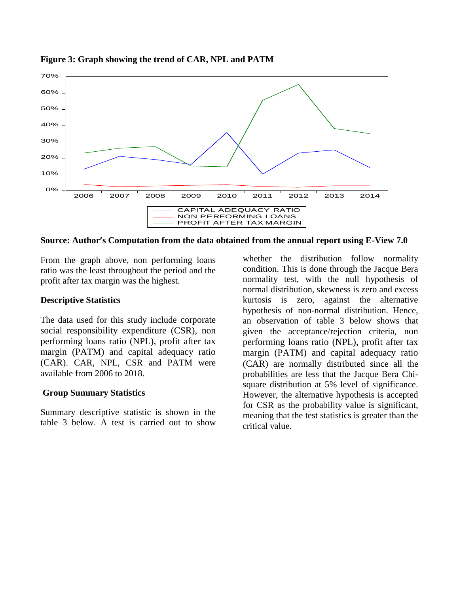

## **Figure 3: Graph showing the trend of CAR, NPL and PATM**

**Source: Author's Computation from the data obtained from the annual report using E-View 7.0** 

From the graph above, non performing loans ratio was the least throughout the period and the profit after tax margin was the highest.

## **Descriptive Statistics**

The data used for this study include corporate social responsibility expenditure (CSR), non performing loans ratio (NPL), profit after tax margin (PATM) and capital adequacy ratio (CAR). CAR, NPL, CSR and PATM were available from 2006 to 2018.

## **Group Summary Statistics**

Summary descriptive statistic is shown in the table 3 below. A test is carried out to show

whether the distribution follow normality condition. This is done through the Jacque Bera normality test, with the null hypothesis of normal distribution, skewness is zero and excess kurtosis is zero, against the alternative hypothesis of non-normal distribution. Hence, an observation of table 3 below shows that given the acceptance/rejection criteria, non performing loans ratio (NPL), profit after tax margin (PATM) and capital adequacy ratio (CAR) are normally distributed since all the probabilities are less that the Jacque Bera Chisquare distribution at 5% level of significance. However, the alternative hypothesis is accepted for CSR as the probability value is significant, meaning that the test statistics is greater than the critical value.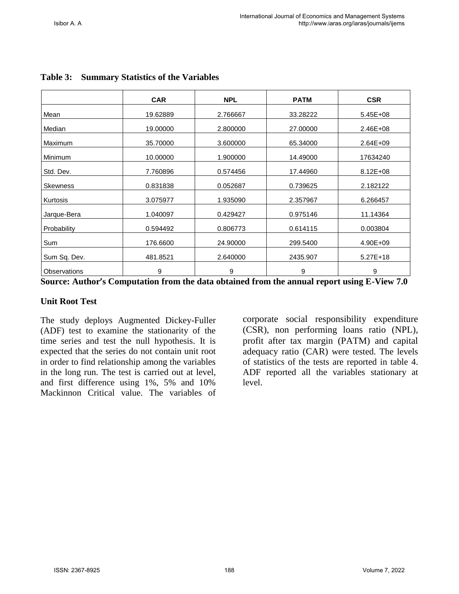|                 | <b>CAR</b> | <b>NPL</b> | <b>PATM</b> | <b>CSR</b>   |
|-----------------|------------|------------|-------------|--------------|
| Mean            | 19.62889   | 2.766667   | 33.28222    | 5.45E+08     |
| Median          | 19.00000   | 2.800000   | 27.00000    | $2.46E + 08$ |
| <b>Maximum</b>  | 35.70000   | 3.600000   | 65.34000    | $2.64E + 09$ |
| Minimum         | 10.00000   | 1.900000   | 14.49000    | 17634240     |
| Std. Dev.       | 7.760896   | 0.574456   | 17.44960    | $8.12E + 08$ |
| <b>Skewness</b> | 0.831838   | 0.052687   | 0.739625    | 2.182122     |
| Kurtosis        | 3.075977   | 1.935090   | 2.357967    | 6.266457     |
| Jarque-Bera     | 1.040097   | 0.429427   | 0.975146    | 11.14364     |
| Probability     | 0.594492   | 0.806773   | 0.614115    | 0.003804     |
| Sum             | 176.6600   | 24.90000   | 299.5400    | 4.90E+09     |
| Sum Sq. Dev.    | 481.8521   | 2.640000   | 2435.907    | $5.27E+18$   |
| Observations    | 9          | 9          | 9           | 9            |

# **Table 3: Summary Statistics of the Variables**

**Source: Author's Computation from the data obtained from the annual report using E-View 7.0** 

# **Unit Root Test**

The study deploys Augmented Dickey-Fuller (ADF) test to examine the stationarity of the time series and test the null hypothesis. It is expected that the series do not contain unit root in order to find relationship among the variables in the long run. The test is carried out at level, and first difference using 1%, 5% and 10% Mackinnon Critical value. The variables of

corporate social responsibility expenditure (CSR), non performing loans ratio (NPL), profit after tax margin (PATM) and capital adequacy ratio (CAR) were tested. The levels of statistics of the tests are reported in table 4. ADF reported all the variables stationary at level.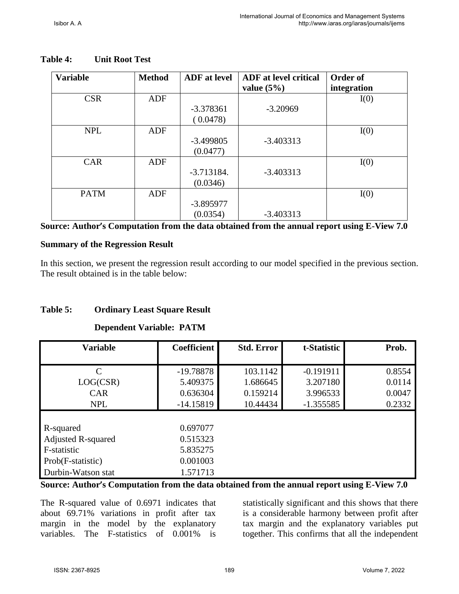| <b>Variable</b> | <b>Method</b> | <b>ADF</b> at level      | <b>ADF</b> at level critical<br>value $(5\%)$ | Order of<br>integration |
|-----------------|---------------|--------------------------|-----------------------------------------------|-------------------------|
| <b>CSR</b>      | <b>ADF</b>    | $-3.378361$<br>(0.0478)  | $-3.20969$                                    | I(0)                    |
| <b>NPL</b>      | ADF           | $-3.499805$<br>(0.0477)  | $-3.403313$                                   | I(0)                    |
| <b>CAR</b>      | ADF           | $-3.713184.$<br>(0.0346) | $-3.403313$                                   | I(0)                    |
| <b>PATM</b>     | ADF           | $-3.895977$<br>(0.0354)  | $-3.403313$                                   | I(0)                    |

### **Table 4: Unit Root Test**

**Source: Author's Computation from the data obtained from the annual report using E-View 7.0** 

## **Summary of the Regression Result**

In this section, we present the regression result according to our model specified in the previous section. The result obtained is in the table below:

# **Table 5: Ordinary Least Square Result**

## **Dependent Variable: PATM**

| <b>Variable</b>           | <b>Coefficient</b> | <b>Std. Error</b> | t-Statistic | Prob.  |
|---------------------------|--------------------|-------------------|-------------|--------|
|                           |                    |                   |             |        |
| $\mathcal{C}$             | $-19.78878$        | 103.1142          | $-0.191911$ | 0.8554 |
| LOG(CSR)                  | 5.409375           | 1.686645          | 3.207180    | 0.0114 |
| <b>CAR</b>                | 0.636304           | 0.159214          | 3.996533    | 0.0047 |
| <b>NPL</b>                | $-14.15819$        | 10.44434          | $-1.355585$ | 0.2332 |
|                           |                    |                   |             |        |
| R-squared                 | 0.697077           |                   |             |        |
| <b>Adjusted R-squared</b> | 0.515323           |                   |             |        |
| F-statistic               | 5.835275           |                   |             |        |
| Prob(F-statistic)         | 0.001003           |                   |             |        |
| Durbin-Watson stat        | 1.571713           |                   |             |        |

**Source: Author's Computation from the data obtained from the annual report using E-View 7.0** 

The R-squared value of 0.6971 indicates that about 69.71% variations in profit after tax margin in the model by the explanatory variables. The F-statistics of 0.001% is

statistically significant and this shows that there is a considerable harmony between profit after tax margin and the explanatory variables put together. This confirms that all the independent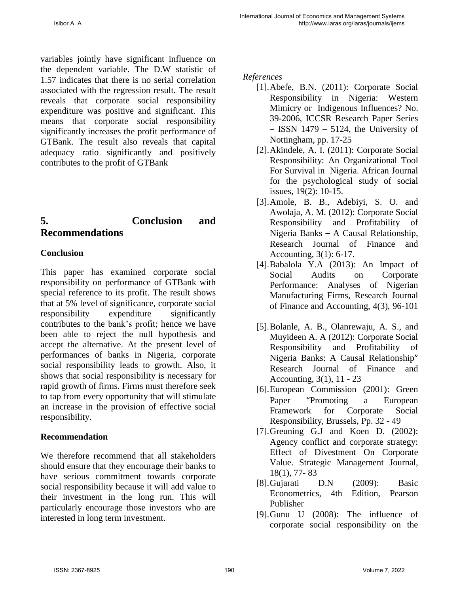variables jointly have significant influence on the dependent variable. The D.W statistic of 1.57 indicates that there is no serial correlation associated with the regression result. The result reveals that corporate social responsibility expenditure was positive and significant. This means that corporate social responsibility significantly increases the profit performance of GTBank. The result also reveals that capital adequacy ratio significantly and positively contributes to the profit of GTBank

# **5. Conclusion and Recommendations**

# **Conclusion**

This paper has examined corporate social responsibility on performance of GTBank with special reference to its profit. The result shows that at 5% level of significance, corporate social responsibility expenditure significantly contributes to the bank's profit; hence we have been able to reject the null hypothesis and accept the alternative. At the present level of performances of banks in Nigeria, corporate social responsibility leads to growth. Also, it shows that social responsibility is necessary for rapid growth of firms. Firms must therefore seek to tap from every opportunity that will stimulate an increase in the provision of effective social responsibility.

# **Recommendation**

We therefore recommend that all stakeholders should ensure that they encourage their banks to have serious commitment towards corporate social responsibility because it will add value to their investment in the long run. This will particularly encourage those investors who are interested in long term investment.

*References* 

- [1].Abefe, B.N. (2011): Corporate Social Responsibility in Nigeria: Western Mimicry or Indigenous Influences? No. 39-2006, ICCSR Research Paper Series – ISSN 1479 – 5124, the University of Nottingham, pp. 17-25
- [2].Akindele, A. I. (2011): Corporate Social Responsibility: An Organizational Tool For Survival in Nigeria. African Journal for the psychological study of social issues, 19(2): 10-15.
- [3].Amole, B. B., Adebiyi, S. O. and Awolaja, A. M. (2012): Corporate Social Responsibility and Profitability of Nigeria Banks – A Causal Relationship, Research Journal of Finance and Accounting, 3(1): 6-17.
- [4].Babalola Y.A (2013): An Impact of Social Audits on Corporate Performance: Analyses of Nigerian Manufacturing Firms, Research Journal of Finance and Accounting, 4(3), 96-101
- [5].Bolanle, A. B., Olanrewaju, A. S., and Muyideen A. A (2012): Corporate Social Responsibility and Profitability of Nigeria Banks: A Causal Relationship" Research Journal of Finance and Accounting, 3(1), 11 - 23
- [6].European Commission (2001): Green Paper "Promoting a European Framework for Corporate Social Responsibility, Brussels, Pp. 32 - 49
- [7].Greuning G.J and Koen D. (2002): Agency conflict and corporate strategy: Effect of Divestment On Corporate Value. Strategic Management Journal, 18(1), 77- 83
- [8].Gujarati D.N (2009): Basic Econometrics, 4th Edition, Pearson Publisher
- [9].Gunu U (2008): The influence of corporate social responsibility on the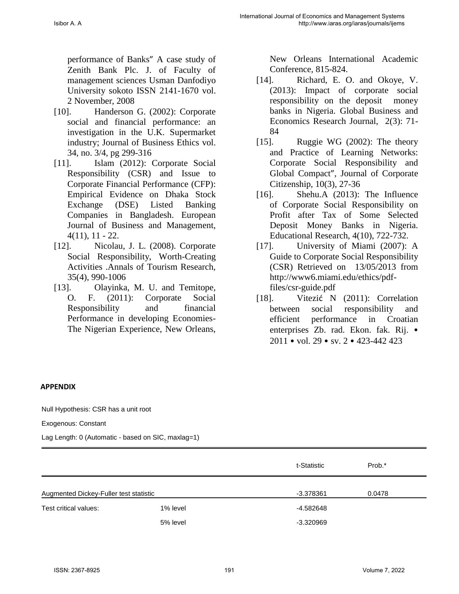performance of Banks" A case study of Zenith Bank Plc. J. of Faculty of management sciences Usman Danfodiyo University sokoto ISSN 2141-1670 vol. 2 November, 2008

- [10]. Handerson G. (2002): Corporate social and financial performance: an investigation in the U.K. Supermarket industry; Journal of Business Ethics vol. 34, no. 3/4, pg 299-316
- [11]. Islam (2012): Corporate Social Responsibility (CSR) and Issue to Corporate Financial Performance (CFP): Empirical Evidence on Dhaka Stock Exchange (DSE) Listed Banking Companies in Bangladesh. European Journal of Business and Management, 4(11), 11 - 22.
- [12]. Nicolau, J. L. (2008). Corporate Social Responsibility, Worth-Creating Activities .Annals of Tourism Research, 35(4), 990-1006
- [13]. Olayinka, M. U. and Temitope, O. F. (2011): Corporate Social Responsibility and financial Performance in developing Economies-The Nigerian Experience, New Orleans,

New Orleans International Academic Conference, 815-824.

- [14]. Richard, E. O. and Okoye, V. (2013): Impact of corporate social responsibility on the deposit money banks in Nigeria. Global Business and Economics Research Journal, 2(3): 71- 84
- [15]. Ruggie WG (2002): The theory and Practice of Learning Networks: Corporate Social Responsibility and Global Compact", Journal of Corporate Citizenship, 10(3), 27-36
- [16]. Shehu.A (2013): The Influence of Corporate Social Responsibility on Profit after Tax of Some Selected Deposit Money Banks in Nigeria. Educational Research, 4(10), 722-732.
- [17]. University of Miami (2007): A Guide to Corporate Social Responsibility (CSR) Retrieved on 13/05/2013 from http://www6.miami.edu/ethics/pdffiles/csr-guide.pdf
- [18]. Vitezić N (2011): Correlation between social responsibility and efficient performance in Croatian enterprises Zb. rad. Ekon. fak. Rij. • 2011 • vol. 29 • sv. 2 • 423-442 423

### **APPENDIX**

Null Hypothesis: CSR has a unit root

Exogenous: Constant

Lag Length: 0 (Automatic - based on SIC, maxlag=1)

|                                        |          | t-Statistic | Prob.* |
|----------------------------------------|----------|-------------|--------|
| Augmented Dickey-Fuller test statistic |          | $-3.378361$ | 0.0478 |
| Test critical values:                  | 1% level | -4.582648   |        |
|                                        | 5% level | $-3.320969$ |        |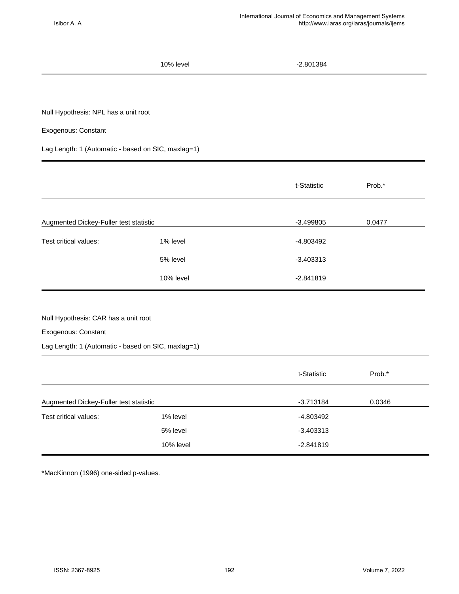10% level 2.801384 Null Hypothesis: NPL has a unit root Exogenous: Constant Lag Length: 1 (Automatic - based on SIC, maxlag=1) t-Statistic Prob.\* Augmented Dickey-Fuller test statistic and the statistic control of the statistic control of the statistic control of the statistic control of the statistic control of the statistic control of the statistic control of the Test critical values:  $1\%$  level  $-4.803492$ 5% level 3.403313 10% level 2.841819 Null Hypothesis: CAR has a unit root

Exogenous: Constant

Lag Length: 1 (Automatic - based on SIC, maxlag=1)

|                                        |           | t-Statistic | Prob.* |
|----------------------------------------|-----------|-------------|--------|
| Augmented Dickey-Fuller test statistic |           | $-3.713184$ | 0.0346 |
| Test critical values:                  | 1% level  | -4.803492   |        |
|                                        | 5% level  | $-3.403313$ |        |
|                                        | 10% level | $-2.841819$ |        |

\*MacKinnon (1996) one-sided p-values.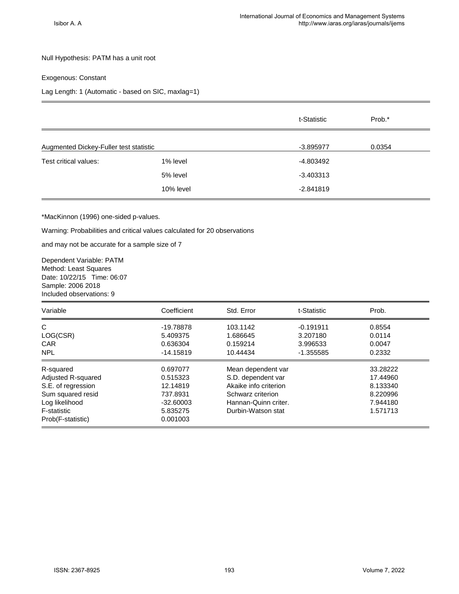#### Null Hypothesis: PATM has a unit root

### Exogenous: Constant

### Lag Length: 1 (Automatic - based on SIC, maxlag=1)

|                                        |           | t-Statistic | Prob.* |
|----------------------------------------|-----------|-------------|--------|
| Augmented Dickey-Fuller test statistic |           | $-3.895977$ | 0.0354 |
| Test critical values:                  | 1% level  | -4.803492   |        |
|                                        | 5% level  | $-3.403313$ |        |
|                                        | 10% level | $-2.841819$ |        |
|                                        |           |             |        |

#### \*MacKinnon (1996) one-sided p-values.

Warning: Probabilities and critical values calculated for 20 observations

and may not be accurate for a sample size of 7

Dependent Variable: PATM Method: Least Squares Date: 10/22/15 Time: 06:07 Sample: 2006 2018 Included observations: 9

| Variable           | Coefficient | Std. Error            | t-Statistic | Prob.    |
|--------------------|-------------|-----------------------|-------------|----------|
| C                  | -19.78878   | 103.1142              | $-0.191911$ | 0.8554   |
| LOG(CSR)           | 5.409375    | 1.686645              | 3.207180    | 0.0114   |
| <b>CAR</b>         | 0.636304    | 0.159214              | 3.996533    | 0.0047   |
| <b>NPL</b>         | $-14.15819$ | 10.44434              | $-1.355585$ | 0.2332   |
| R-squared          | 0.697077    | Mean dependent var    |             | 33.28222 |
| Adjusted R-squared | 0.515323    | S.D. dependent var    |             | 17.44960 |
| S.E. of regression | 12.14819    | Akaike info criterion |             | 8.133340 |
| Sum squared resid  | 737.8931    | Schwarz criterion     |             | 8.220996 |
| Log likelihood     | $-32.60003$ | Hannan-Quinn criter.  |             | 7.944180 |
| F-statistic        | 5.835275    | Durbin-Watson stat    |             | 1.571713 |
| Prob(F-statistic)  | 0.001003    |                       |             |          |